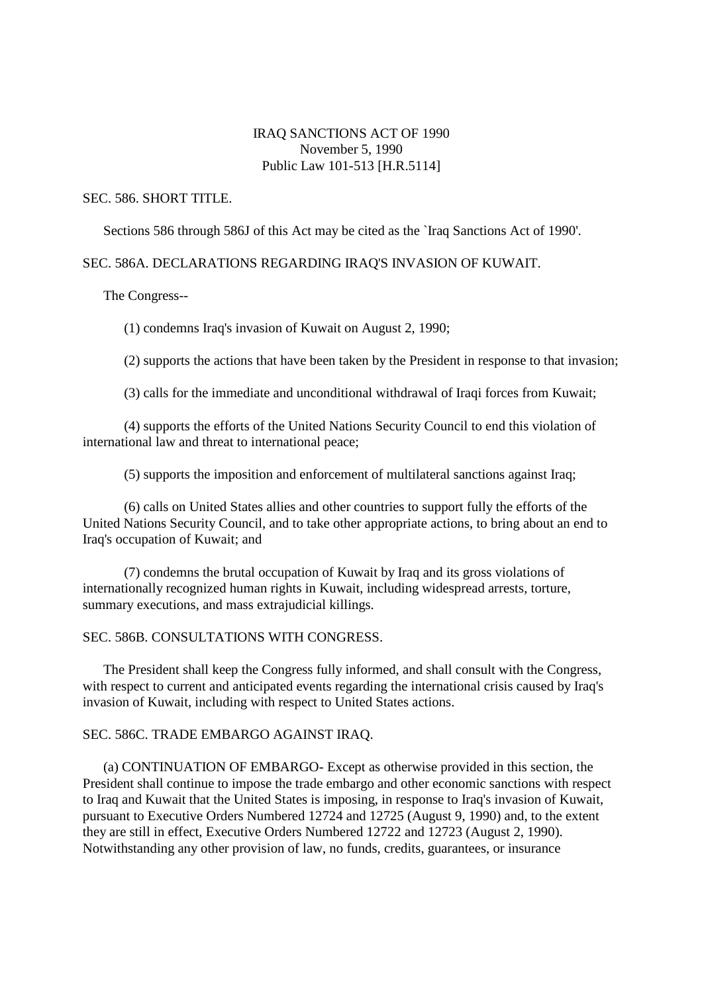# IRAQ SANCTIONS ACT OF 1990 November 5, 1990 Public Law 101-513 [H.R.5114]

#### SEC. 586. SHORT TITLE.

Sections 586 through 586J of this Act may be cited as the `Iraq Sanctions Act of 1990'.

## SEC. 586A. DECLARATIONS REGARDING IRAQ'S INVASION OF KUWAIT.

The Congress--

(1) condemns Iraq's invasion of Kuwait on August 2, 1990;

(2) supports the actions that have been taken by the President in response to that invasion;

(3) calls for the immediate and unconditional withdrawal of Iraqi forces from Kuwait;

(4) supports the efforts of the United Nations Security Council to end this violation of international law and threat to international peace;

(5) supports the imposition and enforcement of multilateral sanctions against Iraq;

(6) calls on United States allies and other countries to support fully the efforts of the United Nations Security Council, and to take other appropriate actions, to bring about an end to Iraq's occupation of Kuwait; and

(7) condemns the brutal occupation of Kuwait by Iraq and its gross violations of internationally recognized human rights in Kuwait, including widespread arrests, torture, summary executions, and mass extrajudicial killings.

### SEC. 586B. CONSULTATIONS WITH CONGRESS.

The President shall keep the Congress fully informed, and shall consult with the Congress, with respect to current and anticipated events regarding the international crisis caused by Iraq's invasion of Kuwait, including with respect to United States actions.

## SEC. 586C. TRADE EMBARGO AGAINST IRAQ.

(a) CONTINUATION OF EMBARGO- Except as otherwise provided in this section, the President shall continue to impose the trade embargo and other economic sanctions with respect to Iraq and Kuwait that the United States is imposing, in response to Iraq's invasion of Kuwait, pursuant to Executive Orders Numbered 12724 and 12725 (August 9, 1990) and, to the extent they are still in effect, Executive Orders Numbered 12722 and 12723 (August 2, 1990). Notwithstanding any other provision of law, no funds, credits, guarantees, or insurance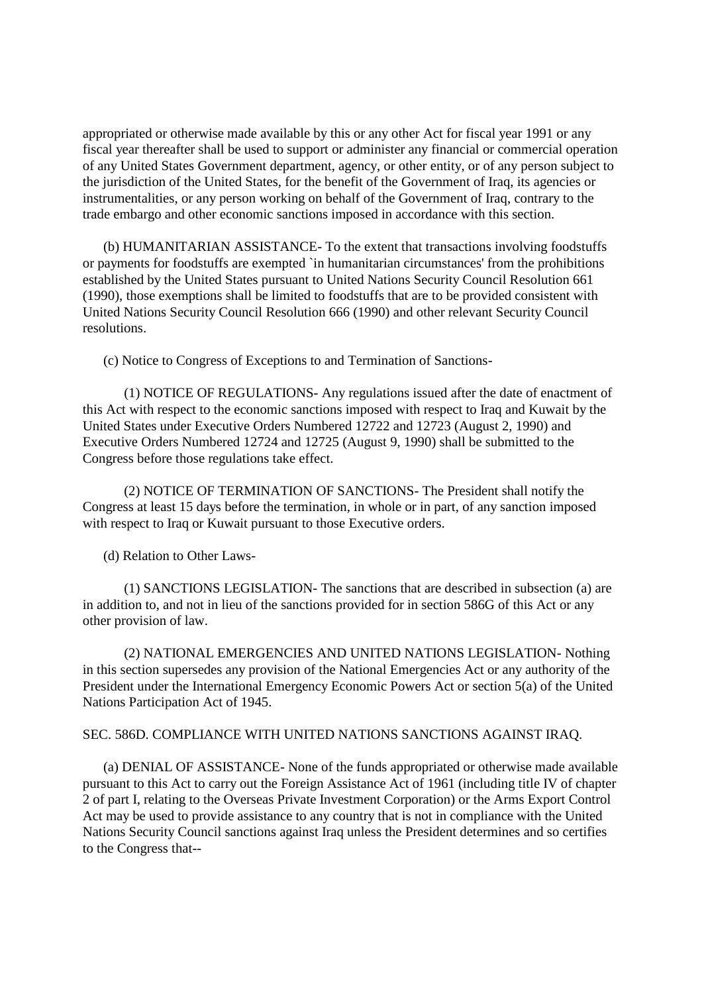appropriated or otherwise made available by this or any other Act for fiscal year 1991 or any fiscal year thereafter shall be used to support or administer any financial or commercial operation of any United States Government department, agency, or other entity, or of any person subject to the jurisdiction of the United States, for the benefit of the Government of Iraq, its agencies or instrumentalities, or any person working on behalf of the Government of Iraq, contrary to the trade embargo and other economic sanctions imposed in accordance with this section.

(b) HUMANITARIAN ASSISTANCE- To the extent that transactions involving foodstuffs or payments for foodstuffs are exempted `in humanitarian circumstances' from the prohibitions established by the United States pursuant to United Nations Security Council Resolution 661 (1990), those exemptions shall be limited to foodstuffs that are to be provided consistent with United Nations Security Council Resolution 666 (1990) and other relevant Security Council resolutions.

(c) Notice to Congress of Exceptions to and Termination of Sanctions-

(1) NOTICE OF REGULATIONS- Any regulations issued after the date of enactment of this Act with respect to the economic sanctions imposed with respect to Iraq and Kuwait by the United States under Executive Orders Numbered 12722 and 12723 (August 2, 1990) and Executive Orders Numbered 12724 and 12725 (August 9, 1990) shall be submitted to the Congress before those regulations take effect.

(2) NOTICE OF TERMINATION OF SANCTIONS- The President shall notify the Congress at least 15 days before the termination, in whole or in part, of any sanction imposed with respect to Iraq or Kuwait pursuant to those Executive orders.

(d) Relation to Other Laws-

(1) SANCTIONS LEGISLATION- The sanctions that are described in subsection (a) are in addition to, and not in lieu of the sanctions provided for in section 586G of this Act or any other provision of law.

(2) NATIONAL EMERGENCIES AND UNITED NATIONS LEGISLATION- Nothing in this section supersedes any provision of the National Emergencies Act or any authority of the President under the International Emergency Economic Powers Act or section 5(a) of the United Nations Participation Act of 1945.

## SEC. 586D. COMPLIANCE WITH UNITED NATIONS SANCTIONS AGAINST IRAQ.

(a) DENIAL OF ASSISTANCE- None of the funds appropriated or otherwise made available pursuant to this Act to carry out the Foreign Assistance Act of 1961 (including title IV of chapter 2 of part I, relating to the Overseas Private Investment Corporation) or the Arms Export Control Act may be used to provide assistance to any country that is not in compliance with the United Nations Security Council sanctions against Iraq unless the President determines and so certifies to the Congress that--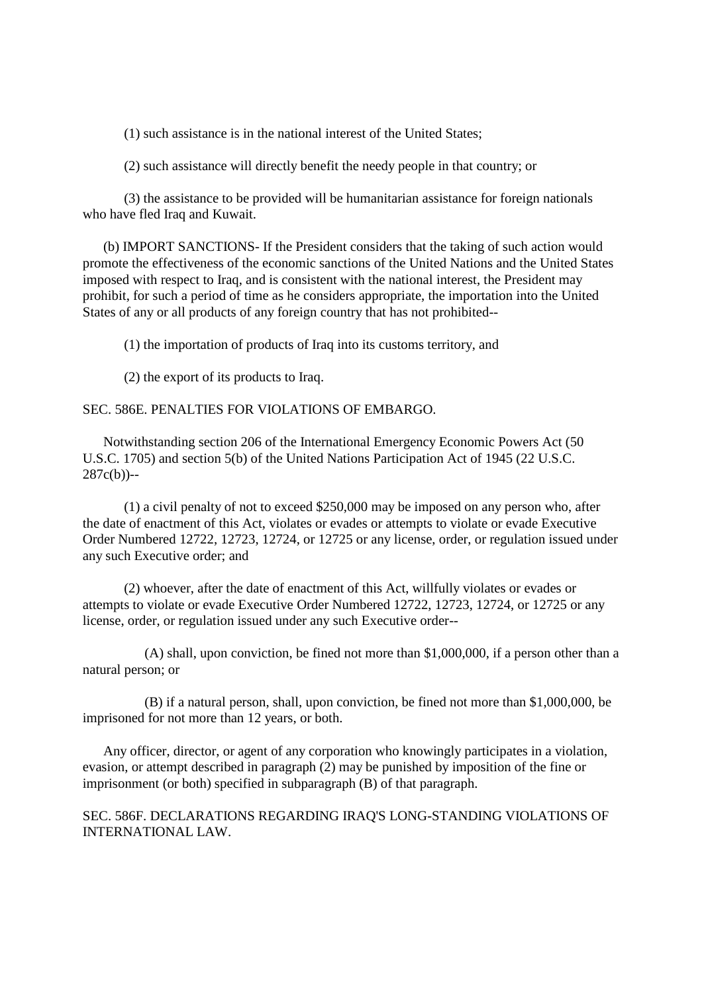(1) such assistance is in the national interest of the United States;

(2) such assistance will directly benefit the needy people in that country; or

(3) the assistance to be provided will be humanitarian assistance for foreign nationals who have fled Iraq and Kuwait.

(b) IMPORT SANCTIONS- If the President considers that the taking of such action would promote the effectiveness of the economic sanctions of the United Nations and the United States imposed with respect to Iraq, and is consistent with the national interest, the President may prohibit, for such a period of time as he considers appropriate, the importation into the United States of any or all products of any foreign country that has not prohibited--

(1) the importation of products of Iraq into its customs territory, and

(2) the export of its products to Iraq.

# SEC. 586E. PENALTIES FOR VIOLATIONS OF EMBARGO.

Notwithstanding section 206 of the International Emergency Economic Powers Act (50 U.S.C. 1705) and section 5(b) of the United Nations Participation Act of 1945 (22 U.S.C. 287c(b))--

(1) a civil penalty of not to exceed \$250,000 may be imposed on any person who, after the date of enactment of this Act, violates or evades or attempts to violate or evade Executive Order Numbered 12722, 12723, 12724, or 12725 or any license, order, or regulation issued under any such Executive order; and

(2) whoever, after the date of enactment of this Act, willfully violates or evades or attempts to violate or evade Executive Order Numbered 12722, 12723, 12724, or 12725 or any license, order, or regulation issued under any such Executive order--

(A) shall, upon conviction, be fined not more than \$1,000,000, if a person other than a natural person; or

(B) if a natural person, shall, upon conviction, be fined not more than \$1,000,000, be imprisoned for not more than 12 years, or both.

Any officer, director, or agent of any corporation who knowingly participates in a violation, evasion, or attempt described in paragraph (2) may be punished by imposition of the fine or imprisonment (or both) specified in subparagraph (B) of that paragraph.

SEC. 586F. DECLARATIONS REGARDING IRAQ'S LONG-STANDING VIOLATIONS OF INTERNATIONAL LAW.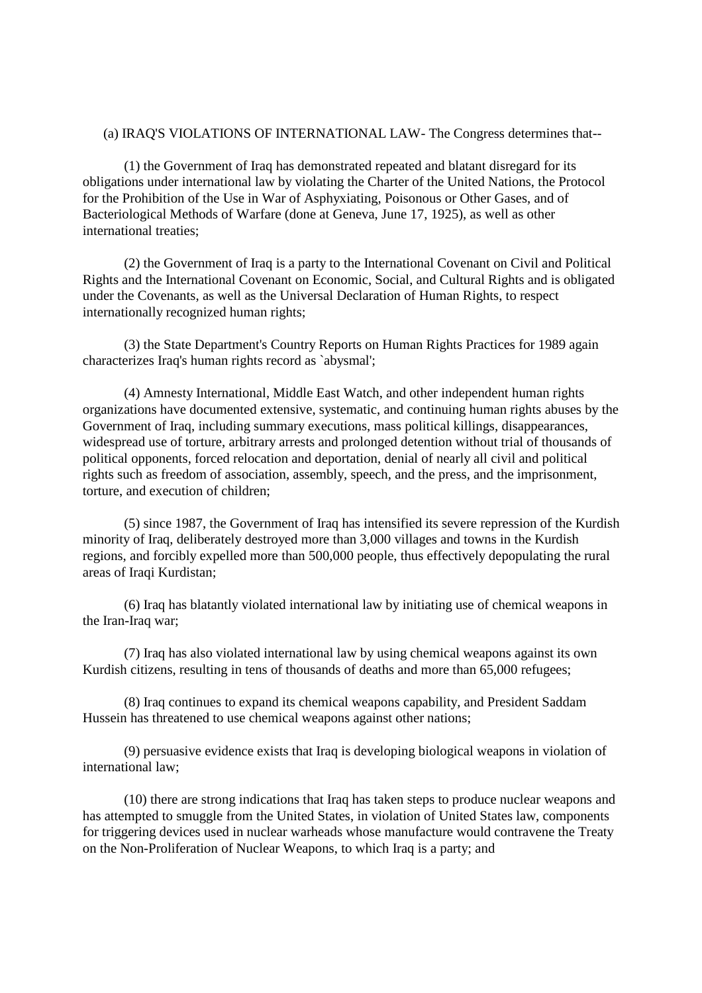#### (a) IRAQ'S VIOLATIONS OF INTERNATIONAL LAW- The Congress determines that--

(1) the Government of Iraq has demonstrated repeated and blatant disregard for its obligations under international law by violating the Charter of the United Nations, the Protocol for the Prohibition of the Use in War of Asphyxiating, Poisonous or Other Gases, and of Bacteriological Methods of Warfare (done at Geneva, June 17, 1925), as well as other international treaties;

(2) the Government of Iraq is a party to the International Covenant on Civil and Political Rights and the International Covenant on Economic, Social, and Cultural Rights and is obligated under the Covenants, as well as the Universal Declaration of Human Rights, to respect internationally recognized human rights;

(3) the State Department's Country Reports on Human Rights Practices for 1989 again characterizes Iraq's human rights record as `abysmal';

(4) Amnesty International, Middle East Watch, and other independent human rights organizations have documented extensive, systematic, and continuing human rights abuses by the Government of Iraq, including summary executions, mass political killings, disappearances, widespread use of torture, arbitrary arrests and prolonged detention without trial of thousands of political opponents, forced relocation and deportation, denial of nearly all civil and political rights such as freedom of association, assembly, speech, and the press, and the imprisonment, torture, and execution of children;

(5) since 1987, the Government of Iraq has intensified its severe repression of the Kurdish minority of Iraq, deliberately destroyed more than 3,000 villages and towns in the Kurdish regions, and forcibly expelled more than 500,000 people, thus effectively depopulating the rural areas of Iraqi Kurdistan;

(6) Iraq has blatantly violated international law by initiating use of chemical weapons in the Iran-Iraq war;

(7) Iraq has also violated international law by using chemical weapons against its own Kurdish citizens, resulting in tens of thousands of deaths and more than 65,000 refugees;

(8) Iraq continues to expand its chemical weapons capability, and President Saddam Hussein has threatened to use chemical weapons against other nations;

(9) persuasive evidence exists that Iraq is developing biological weapons in violation of international law;

(10) there are strong indications that Iraq has taken steps to produce nuclear weapons and has attempted to smuggle from the United States, in violation of United States law, components for triggering devices used in nuclear warheads whose manufacture would contravene the Treaty on the Non-Proliferation of Nuclear Weapons, to which Iraq is a party; and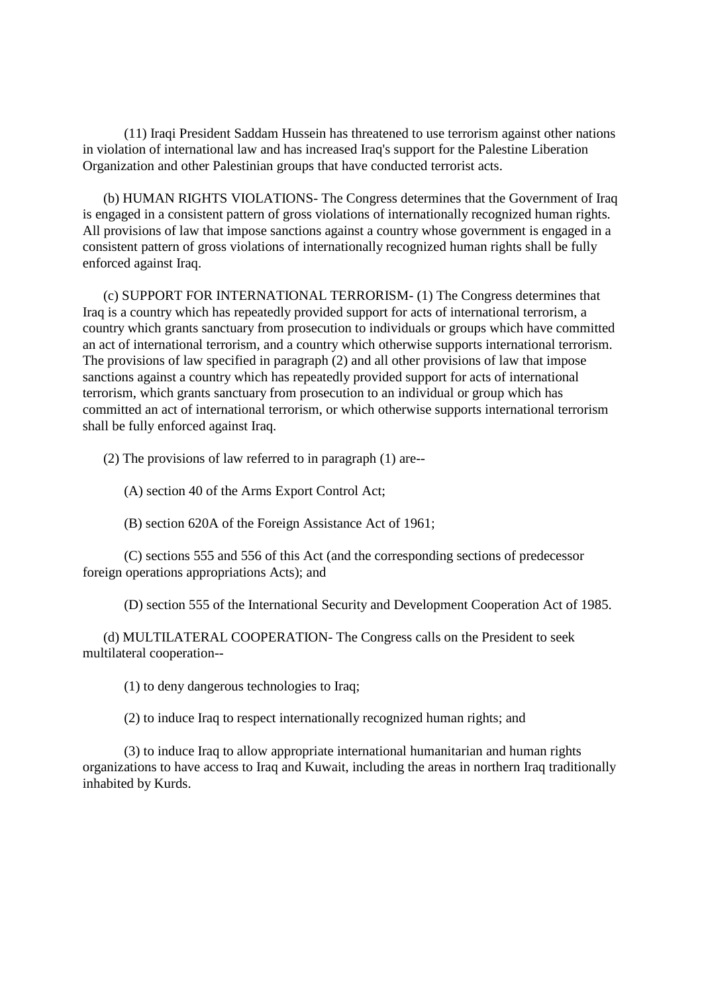(11) Iraqi President Saddam Hussein has threatened to use terrorism against other nations in violation of international law and has increased Iraq's support for the Palestine Liberation Organization and other Palestinian groups that have conducted terrorist acts.

(b) HUMAN RIGHTS VIOLATIONS- The Congress determines that the Government of Iraq is engaged in a consistent pattern of gross violations of internationally recognized human rights. All provisions of law that impose sanctions against a country whose government is engaged in a consistent pattern of gross violations of internationally recognized human rights shall be fully enforced against Iraq.

(c) SUPPORT FOR INTERNATIONAL TERRORISM- (1) The Congress determines that Iraq is a country which has repeatedly provided support for acts of international terrorism, a country which grants sanctuary from prosecution to individuals or groups which have committed an act of international terrorism, and a country which otherwise supports international terrorism. The provisions of law specified in paragraph (2) and all other provisions of law that impose sanctions against a country which has repeatedly provided support for acts of international terrorism, which grants sanctuary from prosecution to an individual or group which has committed an act of international terrorism, or which otherwise supports international terrorism shall be fully enforced against Iraq.

(2) The provisions of law referred to in paragraph (1) are--

(A) section 40 of the Arms Export Control Act;

(B) section 620A of the Foreign Assistance Act of 1961;

(C) sections 555 and 556 of this Act (and the corresponding sections of predecessor foreign operations appropriations Acts); and

(D) section 555 of the International Security and Development Cooperation Act of 1985.

(d) MULTILATERAL COOPERATION- The Congress calls on the President to seek multilateral cooperation--

(1) to deny dangerous technologies to Iraq;

(2) to induce Iraq to respect internationally recognized human rights; and

(3) to induce Iraq to allow appropriate international humanitarian and human rights organizations to have access to Iraq and Kuwait, including the areas in northern Iraq traditionally inhabited by Kurds.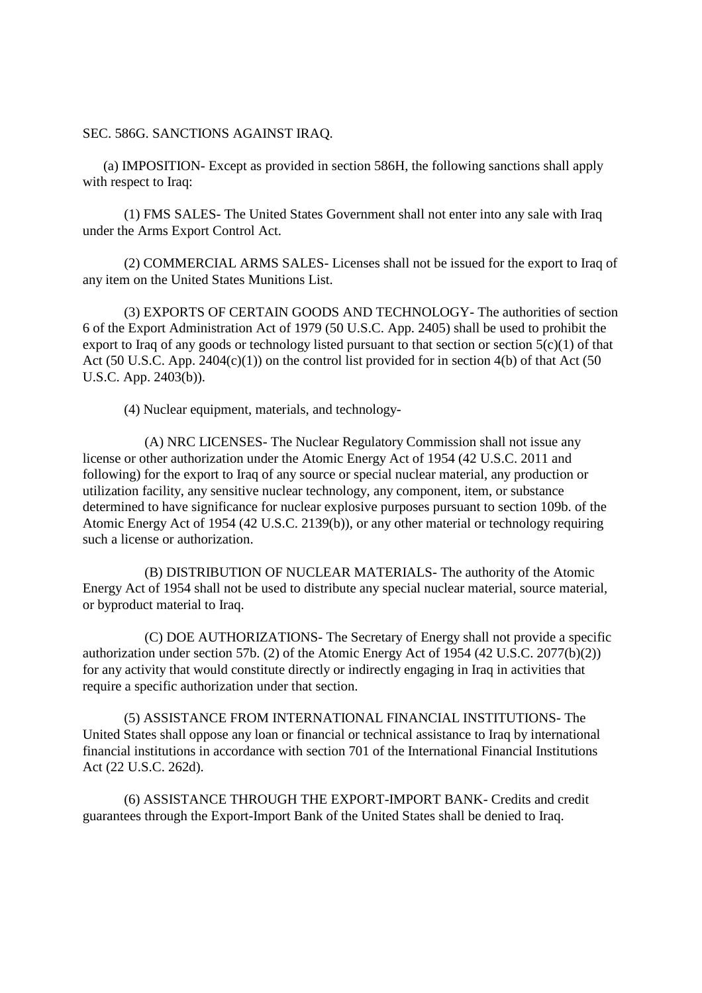SEC. 586G. SANCTIONS AGAINST IRAQ.

(a) IMPOSITION- Except as provided in section 586H, the following sanctions shall apply with respect to Iraq:

(1) FMS SALES- The United States Government shall not enter into any sale with Iraq under the Arms Export Control Act.

(2) COMMERCIAL ARMS SALES- Licenses shall not be issued for the export to Iraq of any item on the United States Munitions List.

(3) EXPORTS OF CERTAIN GOODS AND TECHNOLOGY- The authorities of section 6 of the Export Administration Act of 1979 (50 U.S.C. App. 2405) shall be used to prohibit the export to Iraq of any goods or technology listed pursuant to that section or section  $5(c)(1)$  of that Act (50 U.S.C. App. 2404 $(c)(1)$ ) on the control list provided for in section 4(b) of that Act (50 U.S.C. App. 2403(b)).

(4) Nuclear equipment, materials, and technology-

(A) NRC LICENSES- The Nuclear Regulatory Commission shall not issue any license or other authorization under the Atomic Energy Act of 1954 (42 U.S.C. 2011 and following) for the export to Iraq of any source or special nuclear material, any production or utilization facility, any sensitive nuclear technology, any component, item, or substance determined to have significance for nuclear explosive purposes pursuant to section 109b. of the Atomic Energy Act of 1954 (42 U.S.C. 2139(b)), or any other material or technology requiring such a license or authorization.

(B) DISTRIBUTION OF NUCLEAR MATERIALS- The authority of the Atomic Energy Act of 1954 shall not be used to distribute any special nuclear material, source material, or byproduct material to Iraq.

(C) DOE AUTHORIZATIONS- The Secretary of Energy shall not provide a specific authorization under section 57b. (2) of the Atomic Energy Act of 1954 (42 U.S.C. 2077(b)(2)) for any activity that would constitute directly or indirectly engaging in Iraq in activities that require a specific authorization under that section.

(5) ASSISTANCE FROM INTERNATIONAL FINANCIAL INSTITUTIONS- The United States shall oppose any loan or financial or technical assistance to Iraq by international financial institutions in accordance with section 701 of the International Financial Institutions Act (22 U.S.C. 262d).

(6) ASSISTANCE THROUGH THE EXPORT-IMPORT BANK- Credits and credit guarantees through the Export-Import Bank of the United States shall be denied to Iraq.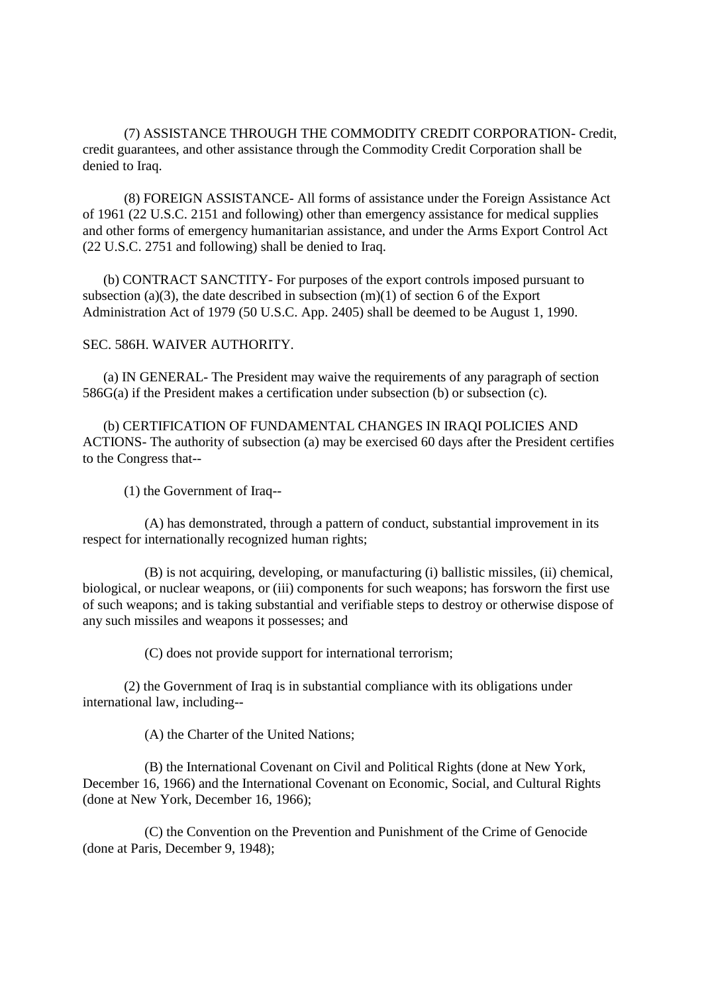(7) ASSISTANCE THROUGH THE COMMODITY CREDIT CORPORATION- Credit, credit guarantees, and other assistance through the Commodity Credit Corporation shall be denied to Iraq.

(8) FOREIGN ASSISTANCE- All forms of assistance under the Foreign Assistance Act of 1961 (22 U.S.C. 2151 and following) other than emergency assistance for medical supplies and other forms of emergency humanitarian assistance, and under the Arms Export Control Act (22 U.S.C. 2751 and following) shall be denied to Iraq.

(b) CONTRACT SANCTITY- For purposes of the export controls imposed pursuant to subsection (a)(3), the date described in subsection  $(m)(1)$  of section 6 of the Export Administration Act of 1979 (50 U.S.C. App. 2405) shall be deemed to be August 1, 1990.

## SEC. 586H. WAIVER AUTHORITY.

(a) IN GENERAL- The President may waive the requirements of any paragraph of section 586G(a) if the President makes a certification under subsection (b) or subsection (c).

(b) CERTIFICATION OF FUNDAMENTAL CHANGES IN IRAQI POLICIES AND ACTIONS- The authority of subsection (a) may be exercised 60 days after the President certifies to the Congress that--

(1) the Government of Iraq--

(A) has demonstrated, through a pattern of conduct, substantial improvement in its respect for internationally recognized human rights;

(B) is not acquiring, developing, or manufacturing (i) ballistic missiles, (ii) chemical, biological, or nuclear weapons, or (iii) components for such weapons; has forsworn the first use of such weapons; and is taking substantial and verifiable steps to destroy or otherwise dispose of any such missiles and weapons it possesses; and

(C) does not provide support for international terrorism;

(2) the Government of Iraq is in substantial compliance with its obligations under international law, including--

(A) the Charter of the United Nations;

(B) the International Covenant on Civil and Political Rights (done at New York, December 16, 1966) and the International Covenant on Economic, Social, and Cultural Rights (done at New York, December 16, 1966);

(C) the Convention on the Prevention and Punishment of the Crime of Genocide (done at Paris, December 9, 1948);